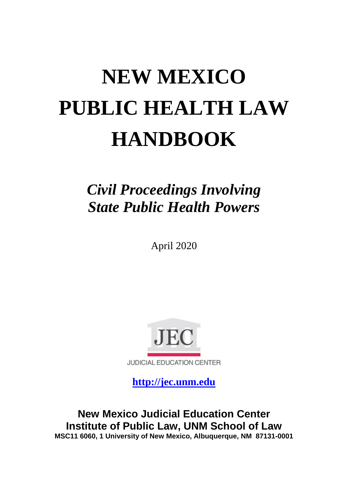# **NEW MEXICO PUBLIC HEALTH LAW HANDBOOK**

# *Civil Proceedings Involving State Public Health Powers*

April 2020



**[http://jec.unm.edu](http://jec.unm.edu/)**

**New Mexico Judicial Education Center Institute of Public Law, UNM School of Law MSC11 6060, 1 University of New Mexico, Albuquerque, NM 87131-0001**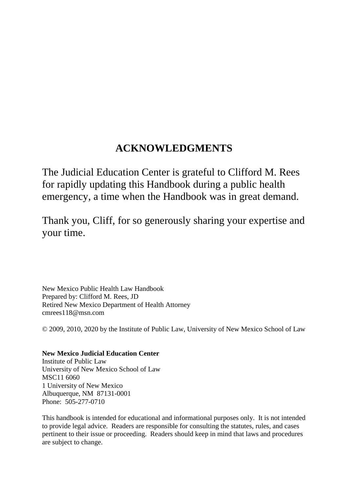## **ACKNOWLEDGMENTS**

The Judicial Education Center is grateful to Clifford M. Rees for rapidly updating this Handbook during a public health emergency, a time when the Handbook was in great demand.

Thank you, Cliff, for so generously sharing your expertise and your time.

New Mexico Public Health Law Handbook Prepared by: Clifford M. Rees, JD Retired New Mexico Department of Health Attorney cmrees118@msn.com

© 2009, 2010, 2020 by the Institute of Public Law, University of New Mexico School of Law

**New Mexico Judicial Education Center** Institute of Public Law University of New Mexico School of Law MSC11 6060 1 University of New Mexico Albuquerque, NM 87131-0001 Phone: 505-277-0710

This handbook is intended for educational and informational purposes only. It is not intended to provide legal advice. Readers are responsible for consulting the statutes, rules, and cases pertinent to their issue or proceeding. Readers should keep in mind that laws and procedures are subject to change.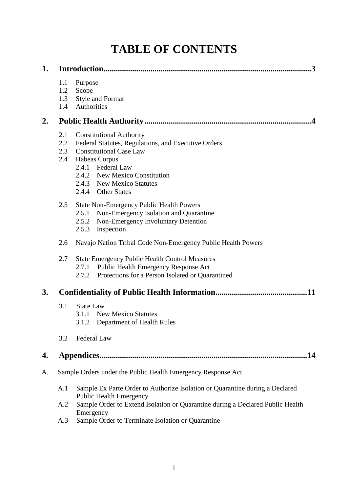## **TABLE OF CONTENTS**

| 1. | .3                                                           |                                                                                                                                                                                                                                                           |  |
|----|--------------------------------------------------------------|-----------------------------------------------------------------------------------------------------------------------------------------------------------------------------------------------------------------------------------------------------------|--|
|    | 1.1<br>1.2<br>1.3<br>1.4                                     | Purpose<br>Scope<br>Style and Format<br>Authorities                                                                                                                                                                                                       |  |
| 2. |                                                              |                                                                                                                                                                                                                                                           |  |
|    | 2.1<br>2.2<br>2.3<br>2.4                                     | <b>Constitutional Authority</b><br>Federal Statutes, Regulations, and Executive Orders<br><b>Constitutional Case Law</b><br><b>Habeas Corpus</b><br>2.4.1 Federal Law<br>2.4.2 New Mexico Constitution<br>2.4.3 New Mexico Statutes<br>2.4.4 Other States |  |
|    | 2.5                                                          | <b>State Non-Emergency Public Health Powers</b><br>Non-Emergency Isolation and Quarantine<br>2.5.1<br>2.5.2 Non-Emergency Involuntary Detention<br>2.5.3<br>Inspection                                                                                    |  |
|    | 2.6                                                          | Navajo Nation Tribal Code Non-Emergency Public Health Powers                                                                                                                                                                                              |  |
|    | 2.7                                                          | <b>State Emergency Public Health Control Measures</b><br>Public Health Emergency Response Act<br>2.7.1<br>Protections for a Person Isolated or Quarantined<br>2.7.2                                                                                       |  |
| 3. |                                                              |                                                                                                                                                                                                                                                           |  |
|    | 3.1                                                          | <b>State Law</b><br><b>New Mexico Statutes</b><br>3.1.1<br>Department of Health Rules<br>3.1.2                                                                                                                                                            |  |
|    | 3.2                                                          | Federal Law                                                                                                                                                                                                                                               |  |
| 4. | .14                                                          |                                                                                                                                                                                                                                                           |  |
| A. | Sample Orders under the Public Health Emergency Response Act |                                                                                                                                                                                                                                                           |  |
|    | A.1                                                          | Sample Ex Parte Order to Authorize Isolation or Quarantine during a Declared<br><b>Public Health Emergency</b>                                                                                                                                            |  |
|    | A.2                                                          | Sample Order to Extend Isolation or Quarantine during a Declared Public Health<br>Emergency                                                                                                                                                               |  |
|    | A.3                                                          | Sample Order to Terminate Isolation or Quarantine                                                                                                                                                                                                         |  |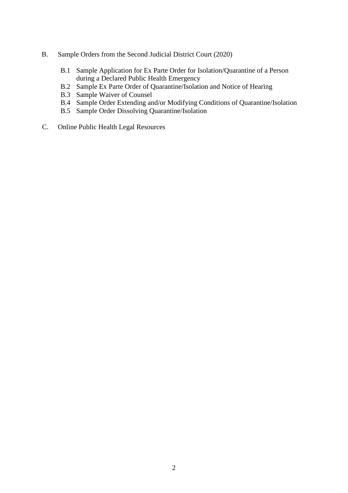- B. Sample Orders from the Second Judicial District Court (2020)
	- B.1 Sample Application for Ex Parte Order for Isolation/Quarantine of a Person during a Declared Public Health Emergency
	- B.2 Sample Ex Parte Order of Quarantine/Isolation and Notice of Hearing
	- B.3 Sample Waiver of Counsel
	- B.4 Sample Order Extending and/or Modifying Conditions of Quarantine/Isolation
	- B.5 Sample Order Dissolving Quarantine/Isolation
- C. Online Public Health Legal Resources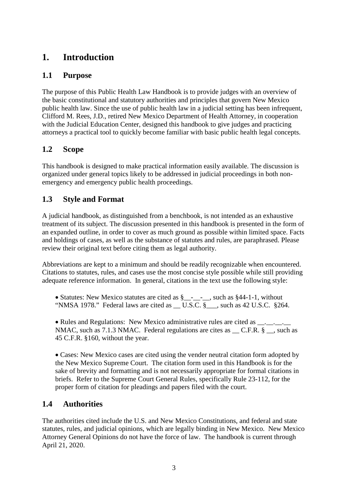### **1. Introduction**

#### **1.1 Purpose**

The purpose of this Public Health Law Handbook is to provide judges with an overview of the basic constitutional and statutory authorities and principles that govern New Mexico public health law. Since the use of public health law in a judicial setting has been infrequent, Clifford M. Rees, J.D., retired New Mexico Department of Health Attorney, in cooperation with the Judicial Education Center, designed this handbook to give judges and practicing attorneys a practical tool to quickly become familiar with basic public health legal concepts.

#### **1.2 Scope**

This handbook is designed to make practical information easily available. The discussion is organized under general topics likely to be addressed in judicial proceedings in both nonemergency and emergency public health proceedings.

#### **1.3 Style and Format**

A judicial handbook, as distinguished from a benchbook, is not intended as an exhaustive treatment of its subject. The discussion presented in this handbook is presented in the form of an expanded outline, in order to cover as much ground as possible within limited space. Facts and holdings of cases, as well as the substance of statutes and rules, are paraphrased. Please review their original text before citing them as legal authority.

Abbreviations are kept to a minimum and should be readily recognizable when encountered. Citations to statutes, rules, and cases use the most concise style possible while still providing adequate reference information. In general, citations in the text use the following style:

• Statutes: New Mexico statutes are cited as §\_\_\_\_\_\_, such as §44-1-1, without "NMSA 1978." Federal laws are cited as \_\_U.S.C. §\_\_\_, such as 42 U.S.C. §264.

• Rules and Regulations: New Mexico administrative rules are cited as \_\_. \_\_. \_\_. NMAC, such as 7.1.3 NMAC. Federal regulations are cites as  $C.F.R. §$ , such as 45 C.F.R. §160, without the year.

• Cases: New Mexico cases are cited using the vender neutral citation form adopted by the New Mexico Supreme Court. The citation form used in this Handbook is for the sake of brevity and formatting and is not necessarily appropriate for formal citations in briefs. Refer to the Supreme Court General Rules, specifically Rule 23-112, for the proper form of citation for pleadings and papers filed with the court.

#### **1.4 Authorities**

The authorities cited include the U.S. and New Mexico Constitutions, and federal and state statutes, rules, and judicial opinions, which are legally binding in New Mexico. New Mexico Attorney General Opinions do not have the force of law. The handbook is current through April 21, 2020.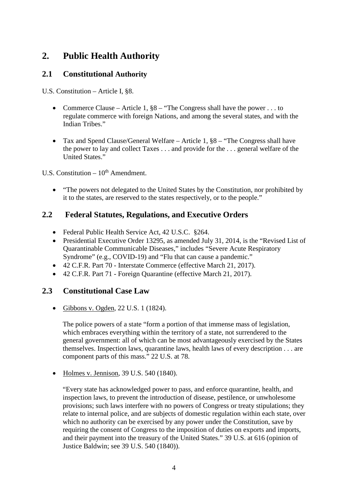## **2. Public Health Authority**

#### **2.1 Constitutional Authority**

U.S. Constitution – Article I, §8.

- Commerce Clause Article 1,  $\S 8$  "The Congress shall have the power . . . to regulate commerce with foreign Nations, and among the several states, and with the Indian Tribes."
- Tax and Spend Clause/General Welfare Article 1,  $\S 8$  "The Congress shall have the power to lay and collect Taxes . . . and provide for the . . . general welfare of the United States."

U.S. Constitution  $-10^{th}$  Amendment.

• "The powers not delegated to the United States by the Constitution, nor prohibited by it to the states, are reserved to the states respectively, or to the people."

#### **2.2 Federal Statutes, Regulations, and Executive Orders**

- Federal Public Health Service Act, 42 U.S.C. §264.
- Presidential Executive Order 13295, as amended July 31, 2014, is the "Revised List of Quarantinable Communicable Diseases," includes "Severe Acute Respiratory Syndrome" (e.g., COVID-19) and "Flu that can cause a pandemic."
- 42 C.F.R. Part 70 Interstate Commerce (effective March 21, 2017).
- 42 C.F.R. Part 71 Foreign Quarantine (effective March 21, 2017).

#### **2.3 Constitutional Case Law**

• Gibbons v. Ogden, 22 U.S. 1 (1824).

The police powers of a state "form a portion of that immense mass of legislation, which embraces everything within the territory of a state, not surrendered to the general government: all of which can be most advantageously exercised by the States themselves. Inspection laws, quarantine laws, health laws of every description . . . are component parts of this mass." 22 U.S. at 78.

• Holmes v. Jennison, 39 U.S. 540 (1840).

"Every state has acknowledged power to pass, and enforce quarantine, health, and inspection laws, to prevent the introduction of disease, pestilence, or unwholesome provisions; such laws interfere with no powers of Congress or treaty stipulations; they relate to internal police, and are subjects of domestic regulation within each state, over which no authority can be exercised by any power under the Constitution, save by requiring the consent of Congress to the imposition of duties on exports and imports, and their payment into the treasury of the United States." 39 U.S. at 616 (opinion of Justice Baldwin; see 39 U.S. 540 (1840)).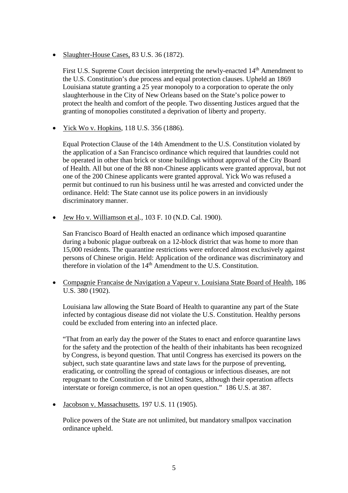• Slaughter-House Cases, 83 U.S. 36 (1872).

First U.S. Supreme Court decision interpreting the newly-enacted 14<sup>th</sup> Amendment to the U.S. Constitution's due process and equal protection clauses. Upheld an 1869 Louisiana statute granting a 25 year monopoly to a corporation to operate the only slaughterhouse in the City of New Orleans based on the State's police power to protect the health and comfort of the people. Two dissenting Justices argued that the granting of monopolies constituted a deprivation of liberty and property.

• Yick Wo v. Hopkins, 118 U.S. 356 (1886).

Equal Protection Clause of the 14th Amendment to the U.S. Constitution violated by the application of a San Francisco ordinance which required that laundries could not be operated in other than brick or stone buildings without approval of the City Board of Health. All but one of the 88 non-Chinese applicants were granted approval, but not one of the 200 Chinese applicants were granted approval. Yick Wo was refused a permit but continued to run his business until he was arrested and convicted under the ordinance. Held: The State cannot use its police powers in an invidiously discriminatory manner.

• Jew Ho v. Williamson et al., 103 F. 10 (N.D. Cal. 1900).

San Francisco Board of Health enacted an ordinance which imposed quarantine during a bubonic plague outbreak on a 12-block district that was home to more than 15,000 residents. The quarantine restrictions were enforced almost exclusively against persons of Chinese origin. Held: Application of the ordinance was discriminatory and therefore in violation of the 14<sup>th</sup> Amendment to the U.S. Constitution.

• Compagnie Francaise de Navigation a Vapeur v. Louisiana State Board of Health, 186 U.S. 380 (1902).

Louisiana law allowing the State Board of Health to quarantine any part of the State infected by contagious disease did not violate the U.S. Constitution. Healthy persons could be excluded from entering into an infected place.

"That from an early day the power of the States to enact and enforce quarantine laws for the safety and the protection of the health of their inhabitants has been recognized by Congress, is beyond question. That until Congress has exercised its powers on the subject, such state quarantine laws and state laws for the purpose of preventing, eradicating, or controlling the spread of contagious or infectious diseases, are not repugnant to the Constitution of the United States, although their operation affects interstate or foreign commerce, is not an open question." 186 U.S. at 387.

• Jacobson v. Massachusetts, 197 U.S. 11 (1905).

Police powers of the State are not unlimited, but mandatory smallpox vaccination ordinance upheld.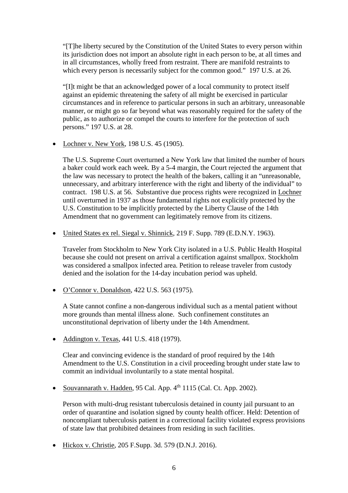"[T]he liberty secured by the Constitution of the United States to every person within its jurisdiction does not import an absolute right in each person to be, at all times and in all circumstances, wholly freed from restraint. There are manifold restraints to which every person is necessarily subject for the common good." 197 U.S. at 26.

"[I]t might be that an acknowledged power of a local community to protect itself against an epidemic threatening the safety of all might be exercised in particular circumstances and in reference to particular persons in such an arbitrary, unreasonable manner, or might go so far beyond what was reasonably required for the safety of the public, as to authorize or compel the courts to interfere for the protection of such persons." 197 U.S. at 28.

• Lochner v. New York, 198 U.S. 45 (1905).

The U.S. Supreme Court overturned a New York law that limited the number of hours a baker could work each week. By a 5-4 margin, the Court rejected the argument that the law was necessary to protect the health of the bakers, calling it an "unreasonable, unnecessary, and arbitrary interference with the right and liberty of the individual" to contract. 198 U.S. at 56. Substantive due process rights were recognized in Lochner until overturned in 1937 as those fundamental rights not explicitly protected by the U.S. Constitution to be implicitly protected by the Liberty Clause of the 14th Amendment that no government can legitimately remove from its citizens.

• United States ex rel. Siegal v. Shinnick, 219 F. Supp. 789 (E.D.N.Y. 1963).

Traveler from Stockholm to New York City isolated in a U.S. Public Health Hospital because she could not present on arrival a certification against smallpox. Stockholm was considered a smallpox infected area. Petition to release traveler from custody denied and the isolation for the 14-day incubation period was upheld.

• O'Connor v. Donaldson, 422 U.S. 563 (1975).

A State cannot confine a non-dangerous individual such as a mental patient without more grounds than mental illness alone. Such confinement constitutes an unconstitutional deprivation of liberty under the 14th Amendment.

• Addington v. Texas, 441 U.S. 418 (1979).

Clear and convincing evidence is the standard of proof required by the 14th Amendment to the U.S. Constitution in a civil proceeding brought under state law to commit an individual involuntarily to a state mental hospital.

• Souvannarath v. Hadden, 95 Cal. App.  $4<sup>th</sup>$  1115 (Cal. Ct. App. 2002).

Person with multi-drug resistant tuberculosis detained in county jail pursuant to an order of quarantine and isolation signed by county health officer. Held: Detention of noncompliant tuberculosis patient in a correctional facility violated express provisions of state law that prohibited detainees from residing in such facilities.

• Hickox v. Christie, 205 F.Supp. 3d. 579 (D.N.J. 2016).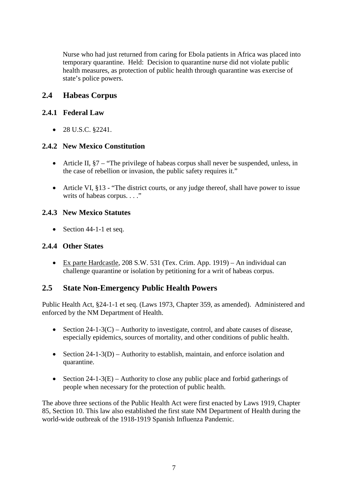Nurse who had just returned from caring for Ebola patients in Africa was placed into temporary quarantine. Held: Decision to quarantine nurse did not violate public health measures, as protection of public health through quarantine was exercise of state's police powers.

#### **2.4 Habeas Corpus**

#### **2.4.1 Federal Law**

• 28 U.S.C. §2241.

#### **2.4.2 New Mexico Constitution**

- Article II, §7 "The privilege of habeas corpus shall never be suspended, unless, in the case of rebellion or invasion, the public safety requires it."
- Article VI, §13 "The district courts, or any judge thereof, shall have power to issue writs of habeas corpus. . . ."

#### **2.4.3 New Mexico Statutes**

• Section 44-1-1 et seq.

#### **2.4.4 Other States**

• Ex parte Hardcastle, 208 S.W. 531 (Tex. Crim. App. 1919) – An individual can challenge quarantine or isolation by petitioning for a writ of habeas corpus.

#### **2.5 State Non-Emergency Public Health Powers**

Public Health Act, §24-1-1 et seq. (Laws 1973, Chapter 359, as amended). Administered and enforced by the NM Department of Health.

- Section  $24-1-3(C)$  Authority to investigate, control, and abate causes of disease, especially epidemics, sources of mortality, and other conditions of public health.
- Section 24-1-3(D) Authority to establish, maintain, and enforce isolation and quarantine.
- Section  $24-1-3(E)$  Authority to close any public place and forbid gatherings of people when necessary for the protection of public health.

The above three sections of the Public Health Act were first enacted by Laws 1919, Chapter 85, Section 10. This law also established the first state NM Department of Health during the world-wide outbreak of the 1918-1919 Spanish Influenza Pandemic.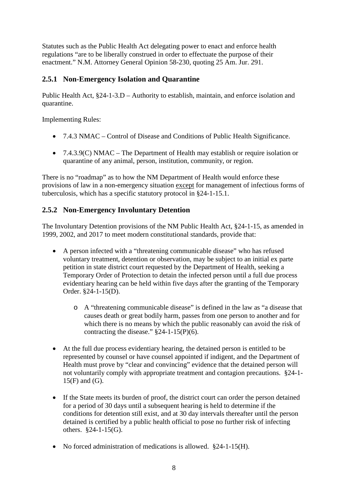Statutes such as the Public Health Act delegating power to enact and enforce health regulations "are to be liberally construed in order to effectuate the purpose of their enactment." N.M. Attorney General Opinion 58-230, quoting 25 Am. Jur. 291.

#### **2.5.1 Non-Emergency Isolation and Quarantine**

Public Health Act, §24-1-3.D – Authority to establish, maintain, and enforce isolation and quarantine.

Implementing Rules:

- 7.4.3 NMAC Control of Disease and Conditions of Public Health Significance.
- 7.4.3.9(C) NMAC The Department of Health may establish or require isolation or quarantine of any animal, person, institution, community, or region.

There is no "roadmap" as to how the NM Department of Health would enforce these provisions of law in a non-emergency situation except for management of infectious forms of tuberculosis, which has a specific statutory protocol in §24-1-15.1.

#### **2.5.2 Non-Emergency Involuntary Detention**

The Involuntary Detention provisions of the NM Public Health Act, §24-1-15, as amended in 1999, 2002, and 2017 to meet modern constitutional standards, provide that:

- A person infected with a "threatening communicable disease" who has refused voluntary treatment, detention or observation, may be subject to an initial ex parte petition in state district court requested by the Department of Health, seeking a Temporary Order of Protection to detain the infected person until a full due process evidentiary hearing can be held within five days after the granting of the Temporary Order. §24-1-15(D).
	- o A "threatening communicable disease" is defined in the law as "a disease that causes death or great bodily harm, passes from one person to another and for which there is no means by which the public reasonably can avoid the risk of contracting the disease."  $\S$ 24-1-15(P)(6).
- At the full due process evidentiary hearing, the detained person is entitled to be represented by counsel or have counsel appointed if indigent, and the Department of Health must prove by "clear and convincing" evidence that the detained person will not voluntarily comply with appropriate treatment and contagion precautions. §24-1- 15(F) and (G).
- If the State meets its burden of proof, the district court can order the person detained for a period of 30 days until a subsequent hearing is held to determine if the conditions for detention still exist, and at 30 day intervals thereafter until the person detained is certified by a public health official to pose no further risk of infecting others. §24-1-15(G).
- No forced administration of medications is allowed.  $$24-1-15(H)$ .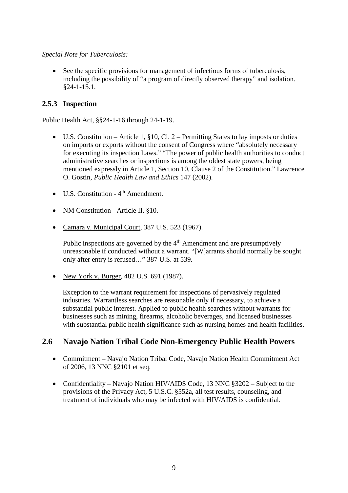#### *Special Note for Tuberculosis:*

• See the specific provisions for management of infectious forms of tuberculosis, including the possibility of "a program of directly observed therapy" and isolation. §24-1-15.1.

#### **2.5.3 Inspection**

Public Health Act, §§24-1-16 through 24-1-19.

- U.S. Constitution Article 1,  $\S 10$ , Cl. 2 Permitting States to lay imposts or duties on imports or exports without the consent of Congress where "absolutely necessary for executing its inspection Laws." "The power of public health authorities to conduct administrative searches or inspections is among the oldest state powers, being mentioned expressly in Article 1, Section 10, Clause 2 of the Constitution." Lawrence O. Gostin, *Public Health Law and Ethics* 147 (2002).
- U.S. Constitution 4<sup>th</sup> Amendment.
- NM Constitution Article II, §10.
- Camara v. Municipal Court, 387 U.S. 523 (1967).

Public inspections are governed by the  $4<sup>th</sup>$  Amendment and are presumptively unreasonable if conducted without a warrant. "[W]arrants should normally be sought only after entry is refused…" 387 U.S. at 539.

• New York v. Burger, 482 U.S. 691 (1987).

Exception to the warrant requirement for inspections of pervasively regulated industries. Warrantless searches are reasonable only if necessary, to achieve a substantial public interest. Applied to public health searches without warrants for businesses such as mining, firearms, alcoholic beverages, and licensed businesses with substantial public health significance such as nursing homes and health facilities.

#### **2.6 Navajo Nation Tribal Code Non-Emergency Public Health Powers**

- Commitment Navajo Nation Tribal Code, Navajo Nation Health Commitment Act of 2006, 13 NNC §2101 et seq.
- Confidentiality Navajo Nation HIV/AIDS Code, 13 NNC §3202 Subject to the provisions of the Privacy Act, 5 U.S.C. §552a, all test results, counseling, and treatment of individuals who may be infected with HIV/AIDS is confidential.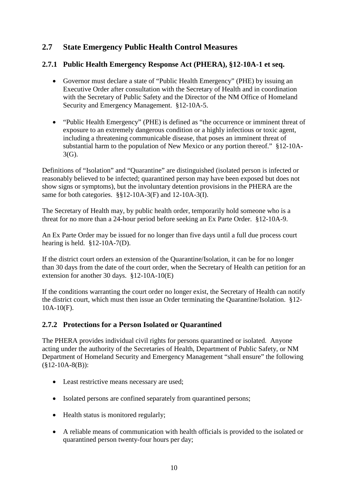#### **2.7 State Emergency Public Health Control Measures**

#### **2.7.1 Public Health Emergency Response Act (PHERA), §12-10A-1 et seq.**

- Governor must declare a state of "Public Health Emergency" (PHE) by issuing an Executive Order after consultation with the Secretary of Health and in coordination with the Secretary of Public Safety and the Director of the NM Office of Homeland Security and Emergency Management. §12-10A-5.
- "Public Health Emergency" (PHE) is defined as "the occurrence or imminent threat of exposure to an extremely dangerous condition or a highly infectious or toxic agent, including a threatening communicable disease, that poses an imminent threat of substantial harm to the population of New Mexico or any portion thereof." §12-10A-3(G).

Definitions of "Isolation" and "Quarantine" are distinguished (isolated person is infected or reasonably believed to be infected; quarantined person may have been exposed but does not show signs or symptoms), but the involuntary detention provisions in the PHERA are the same for both categories. §§12-10A-3(F) and 12-10A-3(I).

The Secretary of Health may, by public health order, temporarily hold someone who is a threat for no more than a 24-hour period before seeking an Ex Parte Order. §12-10A-9.

An Ex Parte Order may be issued for no longer than five days until a full due process court hearing is held. §12-10A-7(D).

If the district court orders an extension of the Quarantine/Isolation, it can be for no longer than 30 days from the date of the court order, when the Secretary of Health can petition for an extension for another 30 days. §12-10A-10(E)

If the conditions warranting the court order no longer exist, the Secretary of Health can notify the district court, which must then issue an Order terminating the Quarantine/Isolation. §12- 10A-10(F).

#### **2.7.2 Protections for a Person Isolated or Quarantined**

The PHERA provides individual civil rights for persons quarantined or isolated. Anyone acting under the authority of the Secretaries of Health, Department of Public Safety, or NM Department of Homeland Security and Emergency Management "shall ensure" the following  $(\$12-10A-8(B))$ :

- Least restrictive means necessary are used;
- Isolated persons are confined separately from quarantined persons;
- Health status is monitored regularly;
- A reliable means of communication with health officials is provided to the isolated or quarantined person twenty-four hours per day;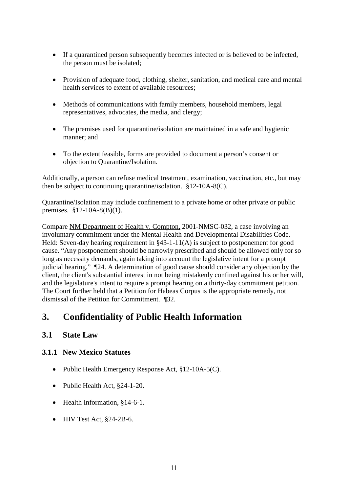- If a quarantined person subsequently becomes infected or is believed to be infected, the person must be isolated;
- Provision of adequate food, clothing, shelter, sanitation, and medical care and mental health services to extent of available resources;
- Methods of communications with family members, household members, legal representatives, advocates, the media, and clergy;
- The premises used for quarantine/isolation are maintained in a safe and hygienic manner; and
- To the extent feasible, forms are provided to document a person's consent or objection to Quarantine/Isolation.

Additionally, a person can refuse medical treatment, examination, vaccination, etc., but may then be subject to continuing quarantine/isolation. §12-10A-8(C).

Quarantine/Isolation may include confinement to a private home or other private or public premises. §12-10A-8(B)(1).

Compare NM Department of Health v. Compton, 2001-NMSC-032, a case involving an involuntary commitment under the Mental Health and Developmental Disabilities Code. Held: Seven-day hearing requirement in §43-1-11(A) is subject to postponement for good cause. "Any postponement should be narrowly prescribed and should be allowed only for so long as necessity demands, again taking into account the legislative intent for a prompt judicial hearing." ¶24. A determination of good cause should consider any objection by the client, the client's substantial interest in not being mistakenly confined against his or her will, and the legislature's intent to require a prompt hearing on a thirty-day commitment petition. The Court further held that a Petition for Habeas Corpus is the appropriate remedy, not dismissal of the Petition for Commitment. ¶32.

## **3. Confidentiality of Public Health Information**

#### **3.1 State Law**

#### **3.1.1 New Mexico Statutes**

- Public Health Emergency Response Act, §12-10A-5(C).
- Public Health Act, §24-1-20.
- Health Information, §14-6-1.
- $\bullet$  HIV Test Act, §24-2B-6.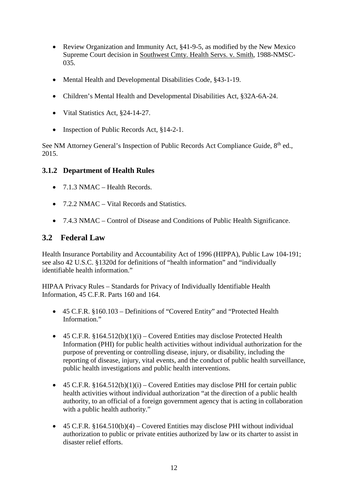- Review Organization and Immunity Act, §41-9-5, as modified by the New Mexico Supreme Court decision in Southwest Cmty. Health Servs. v. Smith, 1988-NMSC-035.
- Mental Health and Developmental Disabilities Code, §43-1-19.
- Children's Mental Health and Developmental Disabilities Act, §32A-6A-24.
- Vital Statistics Act, §24-14-27.
- Inspection of Public Records Act, §14-2-1.

See NM Attorney General's Inspection of Public Records Act Compliance Guide, 8<sup>th</sup> ed., 2015.

#### **3.1.2 Department of Health Rules**

- $7.1.3 \text{ NMAC}$  Health Records.
- 7.2.2 NMAC Vital Records and Statistics.
- 7.4.3 NMAC Control of Disease and Conditions of Public Health Significance.

#### **3.2 Federal Law**

Health Insurance Portability and Accountability Act of 1996 (HIPPA), Public Law 104-191; see also 42 U.S.C. §1320d for definitions of "health information" and "individually identifiable health information."

HIPAA Privacy Rules – Standards for Privacy of Individually Identifiable Health Information, 45 C.F.R. Parts 160 and 164.

- 45 C.F.R. §160.103 Definitions of "Covered Entity" and "Protected Health Information."
- 45 C.F.R.  $$164.512(b)(1)(i) Covered Entities may disclose protected Health$ Information (PHI) for public health activities without individual authorization for the purpose of preventing or controlling disease, injury, or disability, including the reporting of disease, injury, vital events, and the conduct of public health surveillance, public health investigations and public health interventions.
- 45 C.F.R.  $$164.512(b)(1)(i) Covered Entities may disclose PHI for certain public$ health activities without individual authorization "at the direction of a public health authority, to an official of a foreign government agency that is acting in collaboration with a public health authority."
- 45 C.F.R.  $$164.510(b)(4) Covered Entities may disclose PHI without individual$ authorization to public or private entities authorized by law or its charter to assist in disaster relief efforts.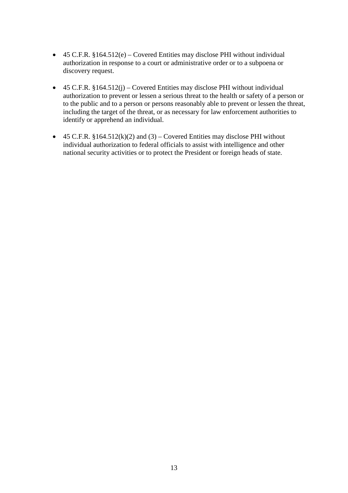- 45 C.F.R. §164.512(e) Covered Entities may disclose PHI without individual authorization in response to a court or administrative order or to a subpoena or discovery request.
- 45 C.F.R.  $§164.512(i)$  Covered Entities may disclose PHI without individual authorization to prevent or lessen a serious threat to the health or safety of a person or to the public and to a person or persons reasonably able to prevent or lessen the threat, including the target of the threat, or as necessary for law enforcement authorities to identify or apprehend an individual.
- 45 C.F.R.  $$164.512(k)(2)$  and  $(3)$  Covered Entities may disclose PHI without individual authorization to federal officials to assist with intelligence and other national security activities or to protect the President or foreign heads of state.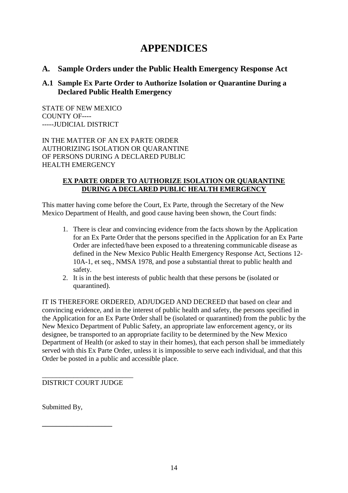## **APPENDICES**

#### **A. Sample Orders under the Public Health Emergency Response Act**

#### **A.1 Sample Ex Parte Order to Authorize Isolation or Quarantine During a Declared Public Health Emergency**

STATE OF NEW MEXICO COUNTY OF---- -----JUDICIAL DISTRICT

IN THE MATTER OF AN EX PARTE ORDER AUTHORIZING ISOLATION OR QUARANTINE OF PERSONS DURING A DECLARED PUBLIC HEALTH EMERGENCY

#### **EX PARTE ORDER TO AUTHORIZE ISOLATION OR QUARANTINE DURING A DECLARED PUBLIC HEALTH EMERGENCY**

This matter having come before the Court, Ex Parte, through the Secretary of the New Mexico Department of Health, and good cause having been shown, the Court finds:

- 1. There is clear and convincing evidence from the facts shown by the Application for an Ex Parte Order that the persons specified in the Application for an Ex Parte Order are infected/have been exposed to a threatening communicable disease as defined in the New Mexico Public Health Emergency Response Act, Sections 12- 10A-1, et seq., NMSA 1978, and pose a substantial threat to public health and safety.
- 2. It is in the best interests of public health that these persons be (isolated or quarantined).

IT IS THEREFORE ORDERED, ADJUDGED AND DECREED that based on clear and convincing evidence, and in the interest of public health and safety, the persons specified in the Application for an Ex Parte Order shall be (isolated or quarantined) from the public by the New Mexico Department of Public Safety, an appropriate law enforcement agency, or its designee, be transported to an appropriate facility to be determined by the New Mexico Department of Health (or asked to stay in their homes), that each person shall be immediately served with this Ex Parte Order, unless it is impossible to serve each individual, and that this Order be posted in a public and accessible place.

\_\_\_\_\_\_\_\_\_\_\_\_\_\_\_\_\_\_\_\_\_\_\_\_\_\_ DISTRICT COURT JUDGE

**\_\_\_\_\_\_\_\_\_\_\_\_\_\_\_\_\_\_\_\_**

Submitted By,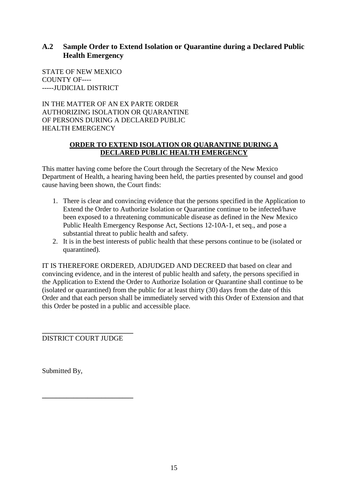#### **A.2 Sample Order to Extend Isolation or Quarantine during a Declared Public Health Emergency**

STATE OF NEW MEXICO COUNTY OF---- -----JUDICIAL DISTRICT

IN THE MATTER OF AN EX PARTE ORDER AUTHORIZING ISOLATION OR QUARANTINE OF PERSONS DURING A DECLARED PUBLIC HEALTH EMERGENCY

#### **ORDER TO EXTEND ISOLATION OR QUARANTINE DURING A DECLARED PUBLIC HEALTH EMERGENCY**

This matter having come before the Court through the Secretary of the New Mexico Department of Health, a hearing having been held, the parties presented by counsel and good cause having been shown, the Court finds:

- 1. There is clear and convincing evidence that the persons specified in the Application to Extend the Order to Authorize Isolation or Quarantine continue to be infected/have been exposed to a threatening communicable disease as defined in the New Mexico Public Health Emergency Response Act, Sections 12-10A-1, et seq., and pose a substantial threat to public health and safety.
- 2. It is in the best interests of public health that these persons continue to be (isolated or quarantined).

IT IS THEREFORE ORDERED, ADJUDGED AND DECREED that based on clear and convincing evidence, and in the interest of public health and safety, the persons specified in the Application to Extend the Order to Authorize Isolation or Quarantine shall continue to be (isolated or quarantined) from the public for at least thirty (30) days from the date of this Order and that each person shall be immediately served with this Order of Extension and that this Order be posted in a public and accessible place.

**\_\_\_\_\_\_\_\_\_\_\_\_\_\_\_\_\_\_\_\_\_\_\_\_\_\_** DISTRICT COURT JUDGE

**\_\_\_\_\_\_\_\_\_\_\_\_\_\_\_\_\_\_\_\_\_\_\_\_\_\_**

Submitted By,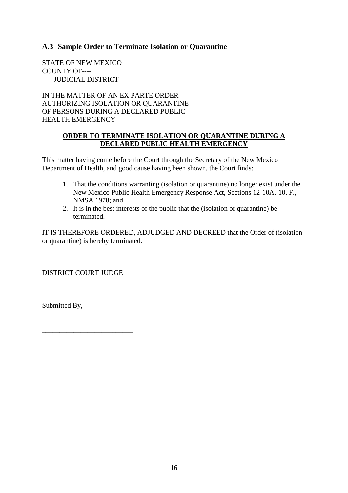#### **A.3 Sample Order to Terminate Isolation or Quarantine**

STATE OF NEW MEXICO COUNTY OF---------JUDICIAL DISTRICT

IN THE MATTER OF AN EX PARTE ORDER AUTHORIZING ISOLATION OR QUARANTINE OF PERSONS DURING A DECLARED PUBLIC HEALTH EMERGENCY

#### **ORDER TO TERMINATE ISOLATION OR QUARANTINE DURING A DECLARED PUBLIC HEALTH EMERGENCY**

This matter having come before the Court through the Secretary of the New Mexico Department of Health, and good cause having been shown, the Court finds:

- 1. That the conditions warranting (isolation or quarantine) no longer exist under the New Mexico Public Health Emergency Response Act, Sections 12-10A.-10. F., NMSA 1978; and
- 2. It is in the best interests of the public that the (isolation or quarantine) be terminated.

IT IS THEREFORE ORDERED, ADJUDGED AND DECREED that the Order of (isolation or quarantine) is hereby terminated.

**\_\_\_\_\_\_\_\_\_\_\_\_\_\_\_\_\_\_\_\_\_\_\_\_\_\_** DISTRICT COURT JUDGE

**\_\_\_\_\_\_\_\_\_\_\_\_\_\_\_\_\_\_\_\_\_\_\_\_\_\_**

Submitted By,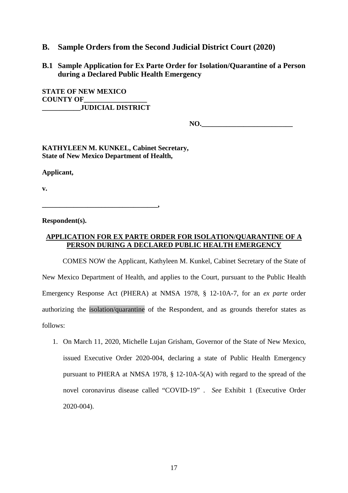#### **B. Sample Orders from the Second Judicial District Court (2020)**

**B.1 Sample Application for Ex Parte Order for Isolation/Quarantine of a Person during a Declared Public Health Emergency**

**STATE OF NEW MEXICO COUNTY OF \_\_\_\_\_\_\_\_\_\_\_JUDICIAL DISTRICT**

**NO.**  $\blacksquare$ 

**KATHYLEEN M. KUNKEL, Cabinet Secretary, State of New Mexico Department of Health,**

**Applicant,**

**v.**

**\_\_\_\_\_\_\_\_\_\_\_\_\_\_\_\_\_\_\_\_\_\_\_\_\_\_\_\_\_\_\_\_\_,**

**Respondent(s).**

#### **APPLICATION FOR EX PARTE ORDER FOR ISOLATION/QUARANTINE OF A PERSON DURING A DECLARED PUBLIC HEALTH EMERGENCY**

COMES NOW the Applicant, Kathyleen M. Kunkel, Cabinet Secretary of the State of New Mexico Department of Health, and applies to the Court, pursuant to the Public Health Emergency Response Act (PHERA) at NMSA 1978, § 12-10A-7, for an *ex parte* order authorizing the isolation/quarantine of the Respondent, and as grounds therefor states as follows:

1. On March 11, 2020, Michelle Lujan Grisham, Governor of the State of New Mexico, issued Executive Order 2020-004, declaring a state of Public Health Emergency pursuant to PHERA at NMSA 1978, § 12-10A-5(A) with regard to the spread of the novel coronavirus disease called "COVID-19" . *See* Exhibit 1 (Executive Order 2020-004).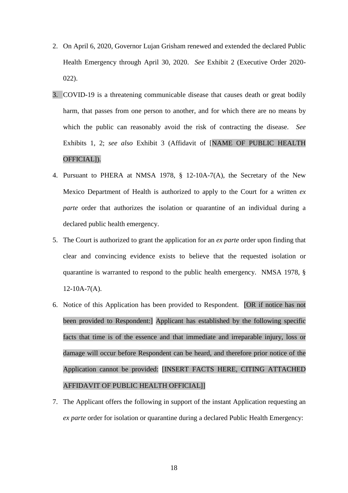- 2. On April 6, 2020, Governor Lujan Grisham renewed and extended the declared Public Health Emergency through April 30, 2020. *See* Exhibit 2 (Executive Order 2020- 022).
- 3. COVID-19 is a threatening communicable disease that causes death or great bodily harm, that passes from one person to another, and for which there are no means by which the public can reasonably avoid the risk of contracting the disease. *See* Exhibits 1, 2; *see also* Exhibit 3 (Affidavit of [NAME OF PUBLIC HEALTH OFFICIAL]).
- 4. Pursuant to PHERA at NMSA 1978, § 12-10A-7(A), the Secretary of the New Mexico Department of Health is authorized to apply to the Court for a written *ex parte* order that authorizes the isolation or quarantine of an individual during a declared public health emergency.
- 5. The Court is authorized to grant the application for an *ex parte* order upon finding that clear and convincing evidence exists to believe that the requested isolation or quarantine is warranted to respond to the public health emergency. NMSA 1978, §  $12-10A-7(A)$ .
- 6. Notice of this Application has been provided to Respondent. [OR if notice has not been provided to Respondent:] Applicant has established by the following specific facts that time is of the essence and that immediate and irreparable injury, loss or damage will occur before Respondent can be heard, and therefore prior notice of the Application cannot be provided: [INSERT FACTS HERE, CITING ATTACHED AFFIDAVIT OF PUBLIC HEALTH OFFICIAL]]
- 7. The Applicant offers the following in support of the instant Application requesting an *ex parte* order for isolation or quarantine during a declared Public Health Emergency: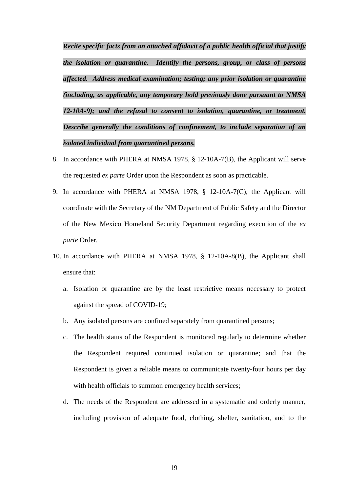*Recite specific facts from an attached affidavit of a public health official that justify the isolation or quarantine. Identify the persons, group, or class of persons affected. Address medical examination; testing; any prior isolation or quarantine (including, as applicable, any temporary hold previously done pursuant to NMSA 12-10A-9); and the refusal to consent to isolation, quarantine, or treatment. Describe generally the conditions of confinement, to include separation of an isolated individual from quarantined persons.*

- 8. In accordance with PHERA at NMSA 1978, § 12-10A-7(B), the Applicant will serve the requested *ex parte* Order upon the Respondent as soon as practicable.
- 9. In accordance with PHERA at NMSA 1978, § 12-10A-7(C), the Applicant will coordinate with the Secretary of the NM Department of Public Safety and the Director of the New Mexico Homeland Security Department regarding execution of the *ex parte* Order.
- 10. In accordance with PHERA at NMSA 1978, § 12-10A-8(B), the Applicant shall ensure that:
	- a. Isolation or quarantine are by the least restrictive means necessary to protect against the spread of COVID-19;
	- b. Any isolated persons are confined separately from quarantined persons;
	- c. The health status of the Respondent is monitored regularly to determine whether the Respondent required continued isolation or quarantine; and that the Respondent is given a reliable means to communicate twenty-four hours per day with health officials to summon emergency health services;
	- d. The needs of the Respondent are addressed in a systematic and orderly manner, including provision of adequate food, clothing, shelter, sanitation, and to the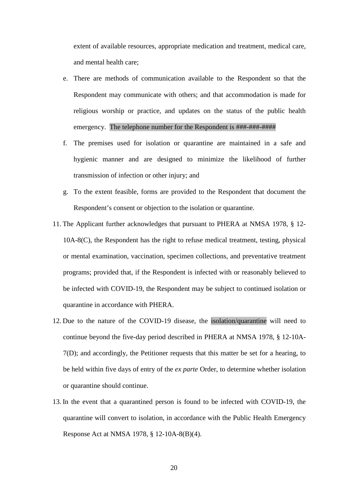extent of available resources, appropriate medication and treatment, medical care, and mental health care;

- e. There are methods of communication available to the Respondent so that the Respondent may communicate with others; and that accommodation is made for religious worship or practice, and updates on the status of the public health emergency. The telephone number for the Respondent is ###-###-####
- f. The premises used for isolation or quarantine are maintained in a safe and hygienic manner and are designed to minimize the likelihood of further transmission of infection or other injury; and
- g. To the extent feasible, forms are provided to the Respondent that document the Respondent's consent or objection to the isolation or quarantine.
- 11. The Applicant further acknowledges that pursuant to PHERA at NMSA 1978, § 12- 10A-8(C), the Respondent has the right to refuse medical treatment, testing, physical or mental examination, vaccination, specimen collections, and preventative treatment programs; provided that, if the Respondent is infected with or reasonably believed to be infected with COVID-19, the Respondent may be subject to continued isolation or quarantine in accordance with PHERA.
- 12. Due to the nature of the COVID-19 disease, the isolation/quarantine will need to continue beyond the five-day period described in PHERA at NMSA 1978, § 12-10A-7(D); and accordingly, the Petitioner requests that this matter be set for a hearing, to be held within five days of entry of the *ex parte* Order, to determine whether isolation or quarantine should continue.
- 13. In the event that a quarantined person is found to be infected with COVID-19, the quarantine will convert to isolation, in accordance with the Public Health Emergency Response Act at NMSA 1978, § 12-10A-8(B)(4).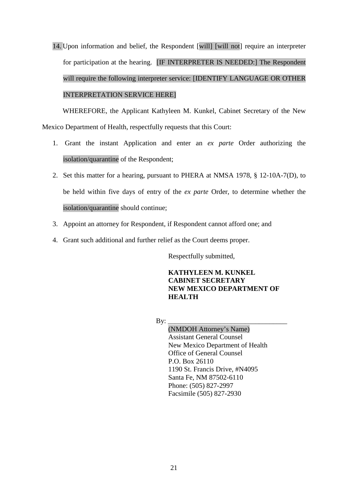14. Upon information and belief, the Respondent [will] [will not] require an interpreter for participation at the hearing. [IF INTERPRETER IS NEEDED:] The Respondent will require the following interpreter service: [IDENTIFY LANGUAGE OR OTHER INTERPRETATION SERVICE HERE]

WHEREFORE, the Applicant Kathyleen M. Kunkel, Cabinet Secretary of the New Mexico Department of Health, respectfully requests that this Court:

- 1. Grant the instant Application and enter an *ex parte* Order authorizing the isolation/quarantine of the Respondent;
- 2. Set this matter for a hearing, pursuant to PHERA at NMSA 1978, § 12-10A-7(D), to be held within five days of entry of the *ex parte* Order, to determine whether the isolation/quarantine should continue;
- 3. Appoint an attorney for Respondent, if Respondent cannot afford one; and
- 4. Grant such additional and further relief as the Court deems proper.

Respectfully submitted,

#### **KATHYLEEN M. KUNKEL CABINET SECRETARY NEW MEXICO DEPARTMENT OF HEALTH**

By: \_\_\_\_\_\_\_\_\_\_\_\_\_\_\_\_\_\_\_\_\_\_\_\_\_\_\_\_\_\_\_\_\_\_

(NMDOH Attorney's Name) Assistant General Counsel New Mexico Department of Health Office of General Counsel P.O. Box 26110 1190 St. Francis Drive, #N4095 Santa Fe, NM 87502-6110 Phone: (505) 827-2997 Facsimile (505) 827-2930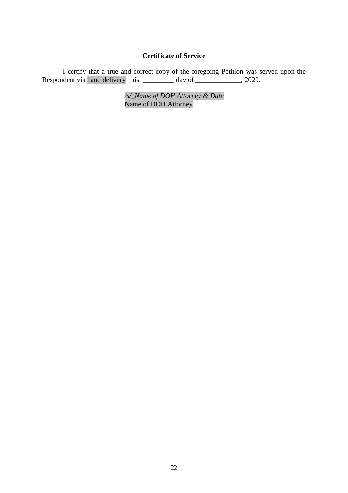#### **Certificate of Service**

I certify that a true and correct copy of the foregoing Petition was served upon the Respondent via hand delivery this \_\_\_\_\_\_\_\_\_ day of \_\_\_\_\_\_\_\_\_\_\_\_\_, 2020.

> */s/\_Name of DOH Attorney & Date* Name of DOH Attorney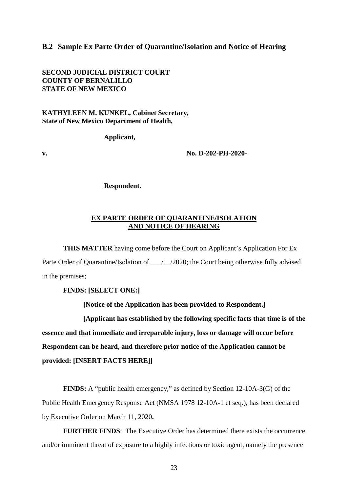#### **B.2 Sample Ex Parte Order of Quarantine/Isolation and Notice of Hearing**

**SECOND JUDICIAL DISTRICT COURT COUNTY OF BERNALILLO STATE OF NEW MEXICO**

**KATHYLEEN M. KUNKEL, Cabinet Secretary, State of New Mexico Department of Health,**

**Applicant,**

**v. No. D-202-PH-2020-**

**Respondent.**

#### **EX PARTE ORDER OF QUARANTINE/ISOLATION AND NOTICE OF HEARING**

**THIS MATTER** having come before the Court on Applicant's Application For Ex Parte Order of Quarantine/Isolation of \_\_\_/\_\_/2020; the Court being otherwise fully advised in the premises;

**FINDS: [SELECT ONE:]**

**[Notice of the Application has been provided to Respondent.]**

**[Applicant has established by the following specific facts that time is of the essence and that immediate and irreparable injury, loss or damage will occur before Respondent can be heard, and therefore prior notice of the Application cannot be provided: [INSERT FACTS HERE]]**

**FINDS:** A "public health emergency," as defined by Section 12-10A-3(G) of the Public Health Emergency Response Act (NMSA 1978 12-10A-1 et seq.), has been declared by Executive Order on March 11, 2020**.**

**FURTHER FINDS**: The Executive Order has determined there exists the occurrence and/or imminent threat of exposure to a highly infectious or toxic agent, namely the presence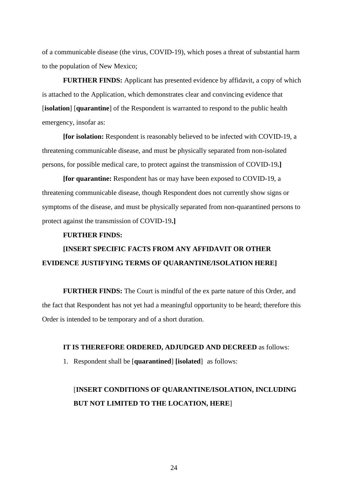of a communicable disease (the virus, COVID-19), which poses a threat of substantial harm to the population of New Mexico;

**FURTHER FINDS:** Applicant has presented evidence by affidavit, a copy of which is attached to the Application, which demonstrates clear and convincing evidence that [**isolation**] [**quarantine**] of the Respondent is warranted to respond to the public health emergency, insofar as:

**[for isolation:** Respondent is reasonably believed to be infected with COVID-19, a threatening communicable disease, and must be physically separated from non-isolated persons, for possible medical care, to protect against the transmission of COVID-19**.]**

**[for quarantine:** Respondent has or may have been exposed to COVID-19, a threatening communicable disease, though Respondent does not currently show signs or symptoms of the disease, and must be physically separated from non-quarantined persons to protect against the transmission of COVID-19**.]**

#### **FURTHER FINDS:**

## **[INSERT SPECIFIC FACTS FROM ANY AFFIDAVIT OR OTHER EVIDENCE JUSTIFYING TERMS OF QUARANTINE/ISOLATION HERE]**

**FURTHER FINDS:** The Court is mindful of the ex parte nature of this Order, and the fact that Respondent has not yet had a meaningful opportunity to be heard; therefore this Order is intended to be temporary and of a short duration.

#### **IT IS THEREFORE ORDERED, ADJUDGED AND DECREED** as follows:

1. Respondent shall be [**quarantined**] **[isolated**] as follows:

## [**INSERT CONDITIONS OF QUARANTINE/ISOLATION, INCLUDING BUT NOT LIMITED TO THE LOCATION, HERE**]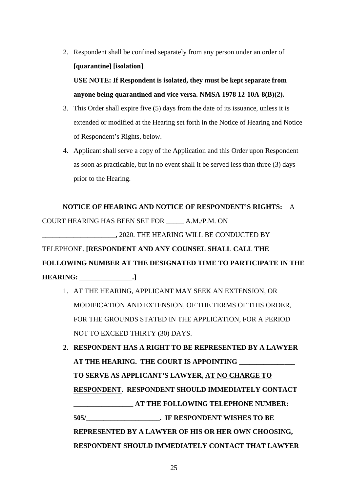2. Respondent shall be confined separately from any person under an order of **[quarantine] [isolation]**.

**USE NOTE: If Respondent is isolated, they must be kept separate from anyone being quarantined and vice versa. NMSA 1978 12-10A-8(B)(2).** 

- 3. This Order shall expire five (5) days from the date of its issuance, unless it is extended or modified at the Hearing set forth in the Notice of Hearing and Notice of Respondent's Rights, below.
- 4. Applicant shall serve a copy of the Application and this Order upon Respondent as soon as practicable, but in no event shall it be served less than three (3) days prior to the Hearing.

#### **NOTICE OF HEARING AND NOTICE OF RESPONDENT'S RIGHTS:** A

COURT HEARING HAS BEEN SET FOR \_\_\_\_\_ A.M./P.M. ON

\_\_\_\_\_\_\_\_\_\_\_\_\_\_\_\_\_\_\_\_\_, 2020. THE HEARING WILL BE CONDUCTED BY

#### TELEPHONE. **[RESPONDENT AND ANY COUNSEL SHALL CALL THE**

**FOLLOWING NUMBER AT THE DESIGNATED TIME TO PARTICIPATE IN THE** 

**HEARING: \_\_\_\_\_\_\_\_\_\_\_\_\_\_\_.]**

- 1. AT THE HEARING, APPLICANT MAY SEEK AN EXTENSION, OR MODIFICATION AND EXTENSION, OF THE TERMS OF THIS ORDER, FOR THE GROUNDS STATED IN THE APPLICATION, FOR A PERIOD NOT TO EXCEED THIRTY (30) DAYS.
- **2. RESPONDENT HAS A RIGHT TO BE REPRESENTED BY A LAWYER AT THE HEARING. THE COURT IS APPOINTING \_\_\_\_\_\_\_\_\_\_\_\_\_\_\_\_ TO SERVE AS APPLICANT'S LAWYER, AT NO CHARGE TO RESPONDENT. RESPONDENT SHOULD IMMEDIATELY CONTACT \_\_\_\_\_\_\_\_\_\_\_\_\_\_\_\_\_ AT THE FOLLOWING TELEPHONE NUMBER: 505/\_\_\_\_\_\_\_\_\_\_\_\_\_\_\_\_\_\_\_\_\_. IF RESPONDENT WISHES TO BE REPRESENTED BY A LAWYER OF HIS OR HER OWN CHOOSING, RESPONDENT SHOULD IMMEDIATELY CONTACT THAT LAWYER**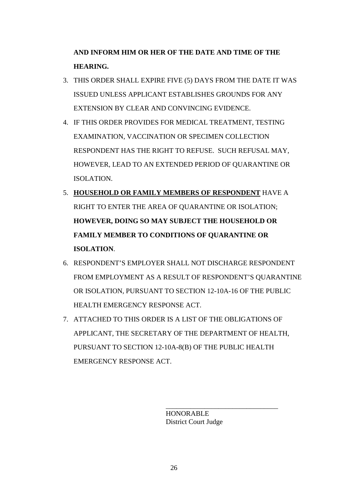**AND INFORM HIM OR HER OF THE DATE AND TIME OF THE HEARING.**

- 3. THIS ORDER SHALL EXPIRE FIVE (5) DAYS FROM THE DATE IT WAS ISSUED UNLESS APPLICANT ESTABLISHES GROUNDS FOR ANY EXTENSION BY CLEAR AND CONVINCING EVIDENCE.
- 4. IF THIS ORDER PROVIDES FOR MEDICAL TREATMENT, TESTING EXAMINATION, VACCINATION OR SPECIMEN COLLECTION RESPONDENT HAS THE RIGHT TO REFUSE. SUCH REFUSAL MAY, HOWEVER, LEAD TO AN EXTENDED PERIOD OF QUARANTINE OR ISOLATION.
- 5. **HOUSEHOLD OR FAMILY MEMBERS OF RESPONDENT** HAVE A RIGHT TO ENTER THE AREA OF QUARANTINE OR ISOLATION; **HOWEVER, DOING SO MAY SUBJECT THE HOUSEHOLD OR FAMILY MEMBER TO CONDITIONS OF QUARANTINE OR ISOLATION**.
- 6. RESPONDENT'S EMPLOYER SHALL NOT DISCHARGE RESPONDENT FROM EMPLOYMENT AS A RESULT OF RESPONDENT'S QUARANTINE OR ISOLATION, PURSUANT TO SECTION 12-10A-16 OF THE PUBLIC HEALTH EMERGENCY RESPONSE ACT.
- 7. ATTACHED TO THIS ORDER IS A LIST OF THE OBLIGATIONS OF APPLICANT, THE SECRETARY OF THE DEPARTMENT OF HEALTH, PURSUANT TO SECTION 12-10A-8(B) OF THE PUBLIC HEALTH EMERGENCY RESPONSE ACT.

 HONORABLE District Court Judge

\_\_\_\_\_\_\_\_\_\_\_\_\_\_\_\_\_\_\_\_\_\_\_\_\_\_\_\_\_\_\_\_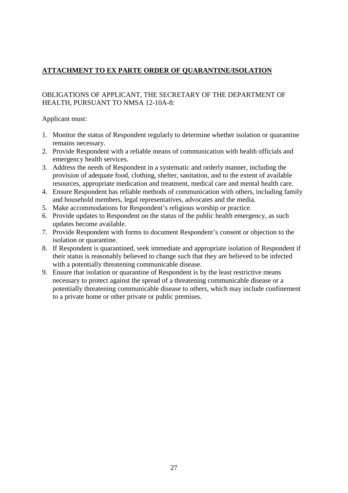#### **ATTACHMENT TO EX PARTE ORDER OF QUARANTINE/ISOLATION**

#### OBLIGATIONS OF APPLICANT, THE SECRETARY OF THE DEPARTMENT OF HEALTH, PURSUANT TO NMSA 12-10A-8:

Applicant must:

- 1. Monitor the status of Respondent regularly to determine whether isolation or quarantine remains necessary.
- 2. Provide Respondent with a reliable means of communication with health officials and emergency health services.
- 3. Address the needs of Respondent in a systematic and orderly manner, including the provision of adequate food, clothing, shelter, sanitation, and to the extent of available resources, appropriate medication and treatment, medical care and mental health care.
- 4. Ensure Respondent has reliable methods of communication with others, including family and household members, legal representatives, advocates and the media.
- 5. Make accommodations for Respondent's religious worship or practice.
- 6. Provide updates to Respondent on the status of the public health emergency, as such updates become available.
- 7. Provide Respondent with forms to document Respondent's consent or objection to the isolation or quarantine.
- 8. If Respondent is quarantined, seek immediate and appropriate isolation of Respondent if their status is reasonably believed to change such that they are believed to be infected with a potentially threatening communicable disease.
- 9. Ensure that isolation or quarantine of Respondent is by the least restrictive means necessary to protect against the spread of a threatening communicable disease or a potentially threatening communicable disease to others, which may include confinement to a private home or other private or public premises.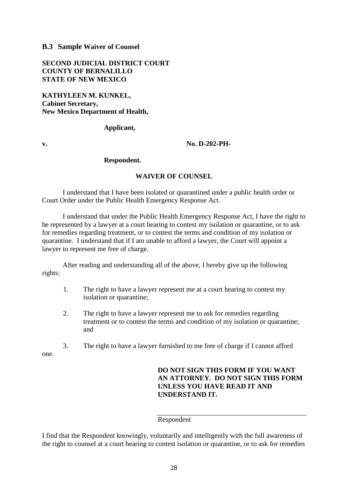#### **B.3 Sample Waiver of Counsel**

**SECOND JUDICIAL DISTRICT COURT COUNTY OF BERNALILLO STATE OF NEW MEXICO**

**KATHYLEEN M. KUNKEL, Cabinet Secretary, New Mexico Department of Health,** 

#### **Applicant,**

#### **v. No. D-202-PH-**

#### **Respondent.**

#### **WAIVER OF COUNSEL**

I understand that I have been isolated or quarantined under a public health order or Court Order under the Public Health Emergency Response Act.

I understand that under the Public Health Emergency Response Act, I have the right to be represented by a lawyer at a court hearing to contest my isolation or quarantine, or to ask for remedies regarding treatment, or to contest the terms and condition of my isolation or quarantine. I understand that if I am unable to afford a lawyer, the Court will appoint a lawyer to represent me free of charge.

After reading and understanding all of the above, I hereby give up the following rights:

- 1. The right to have a lawyer represent me at a court hearing to contest my isolation or quarantine;
- 2. The right to have a lawyer represent me to ask for remedies regarding treatment or to contest the terms and condition of my isolation or quarantine; and
- 3. The right to have a lawyer furnished to me free of charge if I cannot afford one.

**DO NOT SIGN THIS FORM IF YOU WANT AN ATTORNEY. DO NOT SIGN THIS FORM UNLESS YOU HAVE READ IT AND UNDERSTAND IT.** 

#### Respondent

I find that the Respondent knowingly, voluntarily and intelligently with the full awareness of the right to counsel at a court hearing to contest isolation or quarantine, or to ask for remedies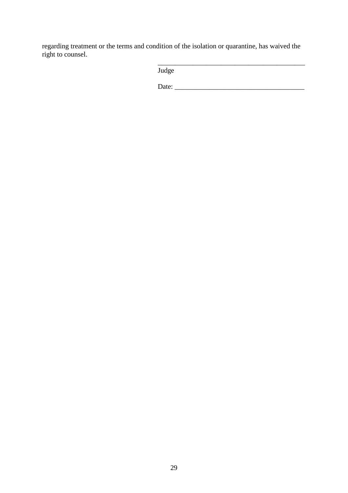regarding treatment or the terms and condition of the isolation or quarantine, has waived the right to counsel.

| Judge |  |
|-------|--|
|       |  |

\_\_\_\_\_\_\_\_\_\_\_\_\_\_\_\_\_\_\_\_\_\_\_\_\_\_\_\_\_\_\_\_\_\_\_\_\_\_\_\_\_\_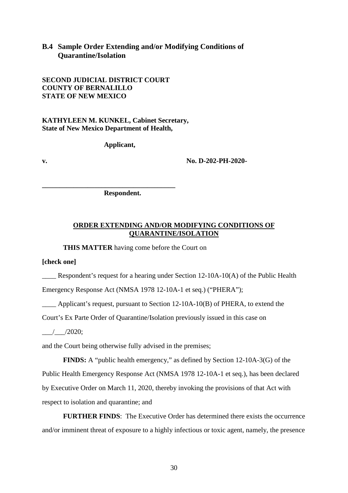#### **B.4 Sample Order Extending and/or Modifying Conditions of Quarantine/Isolation**

**SECOND JUDICIAL DISTRICT COURT COUNTY OF BERNALILLO STATE OF NEW MEXICO**

**KATHYLEEN M. KUNKEL, Cabinet Secretary, State of New Mexico Department of Health,**

**Applicant,**

**v. No. D-202-PH-2020-**

**\_\_\_\_\_\_\_\_\_\_\_\_\_\_\_\_\_\_\_\_\_\_\_\_\_\_\_\_\_\_\_\_\_\_\_\_\_\_ Respondent.**

#### **ORDER EXTENDING AND/OR MODIFYING CONDITIONS OF QUARANTINE/ISOLATION**

**THIS MATTER** having come before the Court on

**[check one]**

**EXECUTE:** Respondent's request for a hearing under Section 12-10A-10(A) of the Public Health

Emergency Response Act (NMSA 1978 12-10A-1 et seq.) ("PHERA");

\_\_\_\_ Applicant's request, pursuant to Section 12-10A-10(B) of PHERA, to extend the

Court's Ex Parte Order of Quarantine/Isolation previously issued in this case on

 $/$   $/2020$ ;

and the Court being otherwise fully advised in the premises;

**FINDS:** A "public health emergency," as defined by Section 12-10A-3(G) of the Public Health Emergency Response Act (NMSA 1978 12-10A-1 et seq.), has been declared by Executive Order on March 11, 2020, thereby invoking the provisions of that Act with respect to isolation and quarantine; and

**FURTHER FINDS**: The Executive Order has determined there exists the occurrence and/or imminent threat of exposure to a highly infectious or toxic agent, namely, the presence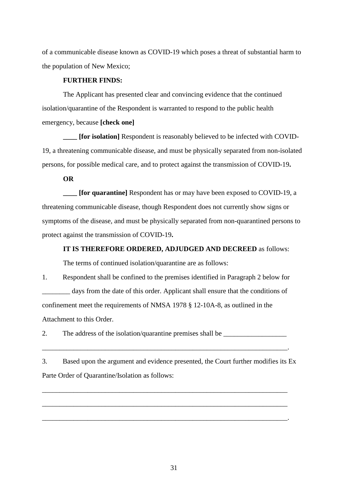of a communicable disease known as COVID-19 which poses a threat of substantial harm to the population of New Mexico;

#### **FURTHER FINDS:**

The Applicant has presented clear and convincing evidence that the continued isolation/quarantine of the Respondent is warranted to respond to the public health emergency, because **[check one]**

**[for isolation]** Respondent is reasonably believed to be infected with COVID-19, a threatening communicable disease, and must be physically separated from non-isolated persons, for possible medical care, and to protect against the transmission of COVID-19**.**

**OR**

**[for quarantine]** Respondent has or may have been exposed to COVID-19, a threatening communicable disease, though Respondent does not currently show signs or symptoms of the disease, and must be physically separated from non-quarantined persons to protect against the transmission of COVID-19**.**

#### **IT IS THEREFORE ORDERED, ADJUDGED AND DECREED** as follows:

The terms of continued isolation/quarantine are as follows:

1. Respondent shall be confined to the premises identified in Paragraph 2 below for \_\_\_\_\_\_\_\_ days from the date of this order. Applicant shall ensure that the conditions of confinement meet the requirements of NMSA 1978 § 12-10A-8, as outlined in the Attachment to this Order.

2. The address of the isolation/quarantine premises shall be

3. Based upon the argument and evidence presented, the Court further modifies its Ex Parte Order of Quarantine/Isolation as follows:

\_\_\_\_\_\_\_\_\_\_\_\_\_\_\_\_\_\_\_\_\_\_\_\_\_\_\_\_\_\_\_\_\_\_\_\_\_\_\_\_\_\_\_\_\_\_\_\_\_\_\_\_\_\_\_\_\_\_\_\_\_\_\_\_\_\_\_\_\_\_

\_\_\_\_\_\_\_\_\_\_\_\_\_\_\_\_\_\_\_\_\_\_\_\_\_\_\_\_\_\_\_\_\_\_\_\_\_\_\_\_\_\_\_\_\_\_\_\_\_\_\_\_\_\_\_\_\_\_\_\_\_\_\_\_\_\_\_\_\_\_

\_\_\_\_\_\_\_\_\_\_\_\_\_\_\_\_\_\_\_\_\_\_\_\_\_\_\_\_\_\_\_\_\_\_\_\_\_\_\_\_\_\_\_\_\_\_\_\_\_\_\_\_\_\_\_\_\_\_\_\_\_\_\_\_\_\_\_\_\_\_.

\_\_\_\_\_\_\_\_\_\_\_\_\_\_\_\_\_\_\_\_\_\_\_\_\_\_\_\_\_\_\_\_\_\_\_\_\_\_\_\_\_\_\_\_\_\_\_\_\_\_\_\_\_\_\_\_\_\_\_\_\_\_\_\_\_\_\_\_\_\_.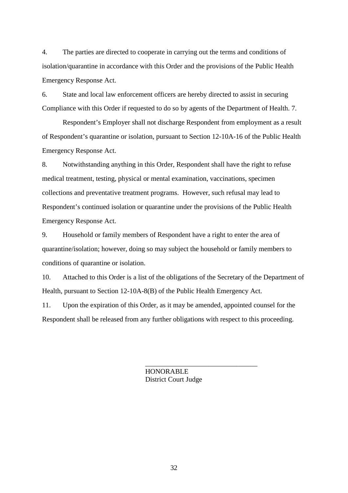4. The parties are directed to cooperate in carrying out the terms and conditions of isolation/quarantine in accordance with this Order and the provisions of the Public Health Emergency Response Act.

6. State and local law enforcement officers are hereby directed to assist in securing Compliance with this Order if requested to do so by agents of the Department of Health. 7.

Respondent's Employer shall not discharge Respondent from employment as a result of Respondent's quarantine or isolation, pursuant to Section 12-10A-16 of the Public Health Emergency Response Act.

8. Notwithstanding anything in this Order, Respondent shall have the right to refuse medical treatment, testing, physical or mental examination, vaccinations, specimen collections and preventative treatment programs. However, such refusal may lead to Respondent's continued isolation or quarantine under the provisions of the Public Health Emergency Response Act.

9. Household or family members of Respondent have a right to enter the area of quarantine/isolation; however, doing so may subject the household or family members to conditions of quarantine or isolation.

10. Attached to this Order is a list of the obligations of the Secretary of the Department of Health, pursuant to Section 12-10A-8(B) of the Public Health Emergency Act.

11. Upon the expiration of this Order, as it may be amended, appointed counsel for the Respondent shall be released from any further obligations with respect to this proceeding.

> HONORABLE District Court Judge

\_\_\_\_\_\_\_\_\_\_\_\_\_\_\_\_\_\_\_\_\_\_\_\_\_\_\_\_\_\_\_\_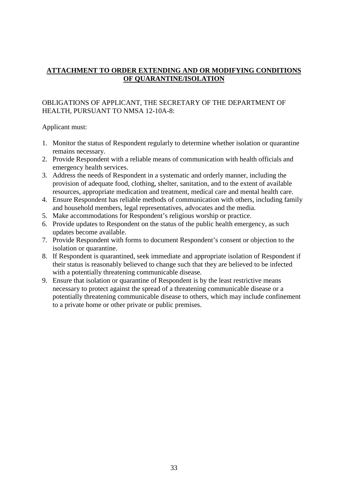#### **ATTACHMENT TO ORDER EXTENDING AND OR MODIFYING CONDITIONS OF QUARANTINE/ISOLATION**

#### OBLIGATIONS OF APPLICANT, THE SECRETARY OF THE DEPARTMENT OF HEALTH, PURSUANT TO NMSA 12-10A-8:

#### Applicant must:

- 1. Monitor the status of Respondent regularly to determine whether isolation or quarantine remains necessary.
- 2. Provide Respondent with a reliable means of communication with health officials and emergency health services.
- 3. Address the needs of Respondent in a systematic and orderly manner, including the provision of adequate food, clothing, shelter, sanitation, and to the extent of available resources, appropriate medication and treatment, medical care and mental health care.
- 4. Ensure Respondent has reliable methods of communication with others, including family and household members, legal representatives, advocates and the media.
- 5. Make accommodations for Respondent's religious worship or practice.
- 6. Provide updates to Respondent on the status of the public health emergency, as such updates become available.
- 7. Provide Respondent with forms to document Respondent's consent or objection to the isolation or quarantine.
- 8. If Respondent is quarantined, seek immediate and appropriate isolation of Respondent if their status is reasonably believed to change such that they are believed to be infected with a potentially threatening communicable disease.
- 9. Ensure that isolation or quarantine of Respondent is by the least restrictive means necessary to protect against the spread of a threatening communicable disease or a potentially threatening communicable disease to others, which may include confinement to a private home or other private or public premises.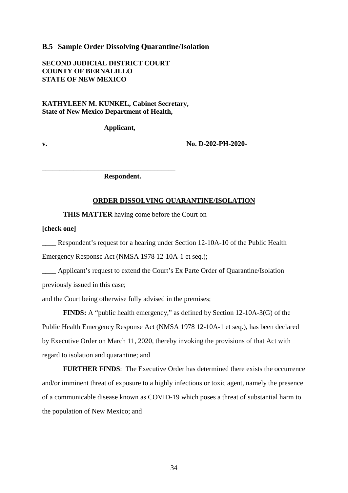#### **B.5 Sample Order Dissolving Quarantine/Isolation**

**SECOND JUDICIAL DISTRICT COURT COUNTY OF BERNALILLO STATE OF NEW MEXICO**

#### **KATHYLEEN M. KUNKEL, Cabinet Secretary, State of New Mexico Department of Health,**

**Applicant,**

**v. No. D-202-PH-2020-**

**Respondent.**

**\_\_\_\_\_\_\_\_\_\_\_\_\_\_\_\_\_\_\_\_\_\_\_\_\_\_\_\_\_\_\_\_\_\_\_\_\_\_**

#### **ORDER DISSOLVING QUARANTINE/ISOLATION**

**THIS MATTER** having come before the Court on

**[check one]**

\_\_\_\_ Respondent's request for a hearing under Section 12-10A-10 of the Public Health Emergency Response Act (NMSA 1978 12-10A-1 et seq.);

\_\_\_\_ Applicant's request to extend the Court's Ex Parte Order of Quarantine/Isolation previously issued in this case;

and the Court being otherwise fully advised in the premises;

**FINDS:** A "public health emergency," as defined by Section 12-10A-3(G) of the Public Health Emergency Response Act (NMSA 1978 12-10A-1 et seq.), has been declared by Executive Order on March 11, 2020, thereby invoking the provisions of that Act with regard to isolation and quarantine; and

**FURTHER FINDS**: The Executive Order has determined there exists the occurrence and/or imminent threat of exposure to a highly infectious or toxic agent, namely the presence of a communicable disease known as COVID-19 which poses a threat of substantial harm to the population of New Mexico; and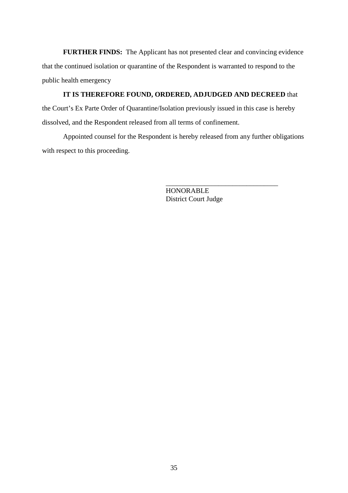**FURTHER FINDS:** The Applicant has not presented clear and convincing evidence that the continued isolation or quarantine of the Respondent is warranted to respond to the public health emergency

#### **IT IS THEREFORE FOUND, ORDERED, ADJUDGED AND DECREED** that

the Court's Ex Parte Order of Quarantine/Isolation previously issued in this case is hereby dissolved, and the Respondent released from all terms of confinement.

Appointed counsel for the Respondent is hereby released from any further obligations with respect to this proceeding.

> HONORABLE District Court Judge

\_\_\_\_\_\_\_\_\_\_\_\_\_\_\_\_\_\_\_\_\_\_\_\_\_\_\_\_\_\_\_\_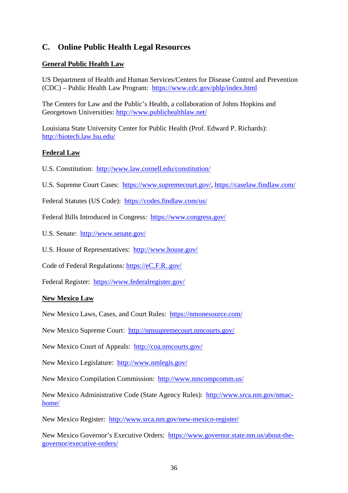#### **C. Online Public Health Legal Resources**

#### **General Public Health Law**

US Department of Health and Human Services/Centers for Disease Control and Prevention (CDC) – Public Health Law Program: <https://www.cdc.gov/phlp/index.html>

The Centers for Law and the Public's Health, a collaboration of Johns Hopkins and Georgetown Universities: <http://www.publichealthlaw.net/>

Louisiana State University Center for Public Health (Prof. Edward P. Richards): <http://biotech.law.lsu.edu/>

#### **Federal Law**

U.S. Constitution: <http://www.law.cornell.edu/constitution/>

U.S. Supreme Court Cases: [https://www.supremecourt.gov/,](https://www.supremecourt.gov/)<https://caselaw.findlaw.com/>

Federal Statutes (US Code): <https://codes.findlaw.com/us/>

Federal Bills Introduced in Congress: <https://www.congress.gov/>

U.S. Senate: <http://www.senate.gov/>

U.S. House of Representatives: <http://www.house.gov/>

Code of Federal Regulations: [https://eC.F.R..gov/](https://ecfr.gov/)

Federal Register: <https://www.federalregister.gov/>

#### **New Mexico Law**

New Mexico Laws, Cases, and Court Rules: <https://nmonesource.com/>

New Mexico Supreme Court: <http://nmsupremecourt.nmcourts.gov/>

New Mexico Court of Appeals: <http://coa.nmcourts.gov/>

New Mexico Legislature: <http://www.nmlegis.gov/>

New Mexico Compilation Commission: <http://www.nmcompcomm.us/>

New Mexico Administrative Code (State Agency Rules): [http://www.srca.nm.gov/nmac](http://www.srca.nm.gov/nmac-home/)[home/](http://www.srca.nm.gov/nmac-home/)

New Mexico Register: <http://www.srca.nm.gov/new-mexico-register/>

New Mexico Governor's Executive Orders: [https://www.governor.state.nm.us/about-the](https://www.governor.state.nm.us/about-the-governor/executive-orders/)[governor/executive-orders/](https://www.governor.state.nm.us/about-the-governor/executive-orders/)